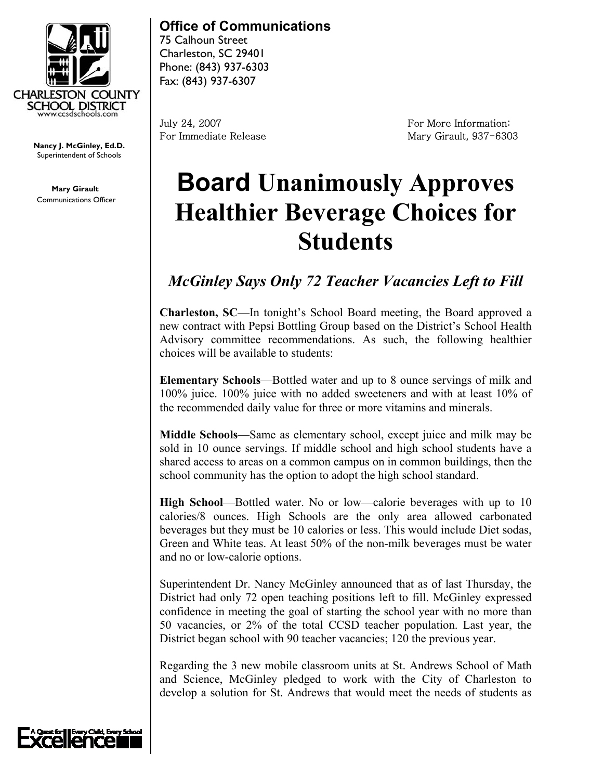

**Nancy J. McGinley, Ed.D. Vancy J. McGinley, Ed.D.**<br>Superintendent of Schools **comparts** 

**Mary Girault**  Communications Officer

## **Office of Communications**

75 Calhoun Street Charleston, SC 29401 Phone: (843) 937-6303 Fax: (843) 937-6307

July 24, 2007 For More Information: For Immediate Release Mary Girault, 937-6303

## **Board Unanimously Approves Healthier Beverage Choices for Students**

## *McGinley Says Only 72 Teacher Vacancies Left to Fill*

**Charleston, SC**—In tonight's School Board meeting, the Board approved a new contract with Pepsi Bottling Group based on the District's School Health Advisory committee recommendations. As such, the following healthier choices will be available to students:

**Elementary Schools**—Bottled water and up to 8 ounce servings of milk and 100% juice. 100% juice with no added sweeteners and with at least 10% of the recommended daily value for three or more vitamins and minerals.

**Middle Schools**—Same as elementary school, except juice and milk may be sold in 10 ounce servings. If middle school and high school students have a shared access to areas on a common campus on in common buildings, then the school community has the option to adopt the high school standard.

**High School**—Bottled water. No or low—calorie beverages with up to 10 calories/8 ounces. High Schools are the only area allowed carbonated beverages but they must be 10 calories or less. This would include Diet sodas, Green and White teas. At least 50% of the non-milk beverages must be water and no or low-calorie options.

Superintendent Dr. Nancy McGinley announced that as of last Thursday, the District had only 72 open teaching positions left to fill. McGinley expressed confidence in meeting the goal of starting the school year with no more than 50 vacancies, or 2% of the total CCSD teacher population. Last year, the District began school with 90 teacher vacancies; 120 the previous year.

Regarding the 3 new mobile classroom units at St. Andrews School of Math and Science, McGinley pledged to work with the City of Charleston to develop a solution for St. Andrews that would meet the needs of students as